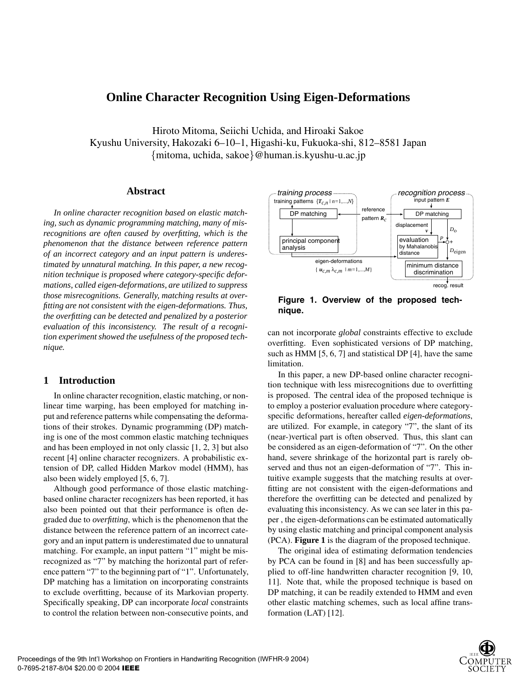# **Online Character Recognition Using Eigen-Deformations**

Hiroto Mitoma, Seiichi Uchida, and Hiroaki Sakoe Kyushu University, Hakozaki 6–10–1, Higashi-ku, Fukuoka-shi, 812–8581 Japan {mitoma, uchida, sakoe}@human.is.kyushu-u.ac.jp

## **Abstract**

*In online character recognition based on elastic matching, such as dynamic programming matching, many of misrecognitions are often caused by overfitting, which is the phenomenon that the distance between reference pattern of an incorrect category and an input pattern is underestimated by unnatural matching. In this paper, a new recognition technique is proposed where category-specific deformations, called eigen-deformations, are utilized to suppress those misrecognitions. Generally, matching results at overfitting are not consistent with the eigen-deformations. Thus, the overfitting can be detected and penalized by a posterior evaluation of this inconsistency. The result of a recognition experiment showed the usefulness of the proposed technique.*

# **1 Introduction**

In online character recognition, elastic matching, or nonlinear time warping, has been employed for matching input and reference patterns while compensating the deformations of their strokes. Dynamic programming (DP) matching is one of the most common elastic matching techniques and has been employed in not only classic [1, 2, 3] but also recent [4] online character recognizers. A probabilistic extension of DP, called Hidden Markov model (HMM), has also been widely employed [5, 6, 7].

Although good performance of those elastic matchingbased online character recognizers has been reported, it has also been pointed out that their performance is often degraded due to *overfitting*, which is the phenomenon that the distance between the reference pattern of an incorrect category and an input pattern is underestimated due to unnatural matching. For example, an input pattern "1" might be misrecognized as "7" by matching the horizontal part of reference pattern "7" to the beginning part of "1". Unfortunately, DP matching has a limitation on incorporating constraints to exclude overfitting, because of its Markovian property. Specifically speaking, DP can incorporate *local* constraints to control the relation between non-consecutive points, and



**Figure 1. Overview of the proposed technique.**

can not incorporate *global* constraints effective to exclude overfitting. Even sophisticated versions of DP matching, such as HMM [5, 6, 7] and statistical DP [4], have the same limitation.

In this paper, a new DP-based online character recognition technique with less misrecognitions due to overfitting is proposed. The central idea of the proposed technique is to employ a posterior evaluation procedure where categoryspecific deformations, hereafter called *eigen-deformations*, are utilized. For example, in category "7", the slant of its (near-)vertical part is often observed. Thus, this slant can be considered as an eigen-deformation of "7". On the other hand, severe shrinkage of the horizontal part is rarely observed and thus not an eigen-deformation of "7". This intuitive example suggests that the matching results at overfitting are not consistent with the eigen-deformations and therefore the overfitting can be detected and penalized by evaluating this inconsistency. As we can see later in this paper , the eigen-deformations can be estimated automatically by using elastic matching and principal component analysis (PCA). **Figure 1** is the diagram of the proposed technique.

The original idea of estimating deformation tendencies by PCA can be found in [8] and has been successfully applied to off-line handwritten character recognition [9, 10, 11]. Note that, while the proposed technique is based on DP matching, it can be readily extended to HMM and even other elastic matching schemes, such as local affine transformation (LAT) [12].

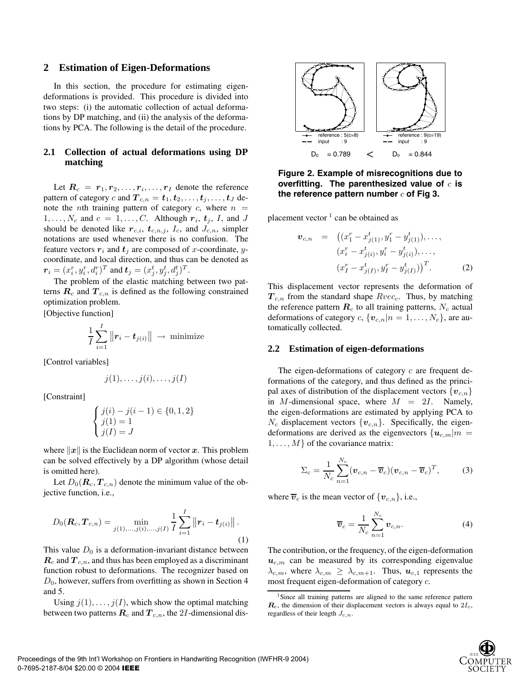## **2 Estimation of Eigen-Deformations**

In this section, the procedure for estimating eigendeformations is provided. This procedure is divided into two steps: (i) the automatic collection of actual deformations by DP matching, and (ii) the analysis of the deformations by PCA. The following is the detail of the procedure.

# **2.1 Collection of actual deformations using DP matching**

Let  $R_c = r_1, r_2, \ldots, r_i, \ldots, r_I$  denote the reference pattern of category c and  $T_{c,n} = t_1, t_2, \ldots, t_j, \ldots, t_J$  denote the *n*th training pattern of category  $c$ , where  $n =$  $1, \ldots, N_c$  and  $c = 1, \ldots, C$ . Although  $r_i$ ,  $t_j$ ,  $I$ , and  $J$ should be denoted like  $r_{c,i}$ ,  $t_{c,n,j}$ ,  $I_c$ , and  $J_{c,n}$ , simpler notations are used whenever there is no confusion. The feature vectors  $r_i$  and  $t_j$  are composed of x-coordinate, ycoordinate, and local direction, and thus can be denoted as  $\boldsymbol{r}_i = (x_i^r, y_i^r, d_i^r)^T$  and  $\boldsymbol{t}_j = (x_j^t, y_j^t, d_j^t)^T$ .

The problem of the elastic matching between two patterns *R<sup>c</sup>* and *Tc,n* is defined as the following constrained optimization problem.

[Objective function]

$$
\frac{1}{I}\sum_{i=1}^I \big\|\bm{r}_i-\bm{t}_{j(i)}\big\| \to \text{ minimize}
$$

[Control variables]

$$
j(1),\ldots,j(i),\ldots,j(I)
$$

[Constraint]

$$
\begin{cases} j(i) - j(i-1) \in \{0,1,2\} \\ j(1) = 1 \\ j(I) = J \end{cases}
$$

where  $\|x\|$  is the Euclidean norm of vector x. This problem can be solved effectively by a DP algorithm (whose detail is omitted here).

Let  $D_0(\mathbf{R}_c, \mathbf{T}_{c,n})$  denote the minimum value of the objective function, i.e.,

$$
D_0(\boldsymbol{R}_c, \boldsymbol{T}_{c,n}) = \min_{j(1),\ldots,j(i),\ldots,j(I)} \frac{1}{I} \sum_{i=1}^I \left\| \boldsymbol{r}_i - \boldsymbol{t}_{j(i)} \right\|.
$$
\n(1)

This value  $D_0$  is a deformation-invariant distance between *R<sup>c</sup>* and *T c,n*, and thus has been employed as a discriminant function robust to deformations. The recognizer based on  $D_0$ , however, suffers from overfitting as shown in Section 4 and 5.

Using  $j(1), \ldots, j(I)$ , which show the optimal matching between two patterns  $\mathbf{R}_c$  and  $\mathbf{T}_{c,n}$ , the 2*I*-dimensional dis-



**Figure 2. Example of misrecognitions due to overfitting. The parenthesized value of** c **is** the reference pattern number c of Fig 3.

placement vector  $\frac{1}{1}$  can be obtained as

$$
\boldsymbol{v}_{c,n} = ((x_1^r - x_{j(1)}^t, y_1^r - y_{j(1)}^t), \dots, (x_i^r - x_{j(i)}^t, y_i^r - y_{j(i)}^t), \dots, (x_I^r - x_{j(I)}^t, y_I^r - y_{j(I)}^t))^T.
$$
 (2)

This displacement vector represents the deformation of *Tc,n* from the standard shape Rvec*c*. Thus, by matching the reference pattern  $\boldsymbol{R}_c$  to all training patterns,  $N_c$  actual deformations of category  $c$ ,  $\{v_{c,n}|n = 1, \ldots, N_c\}$ , are automatically collected.

#### **2.2 Estimation of eigen-deformations**

The eigen-deformations of category  $c$  are frequent deformations of the category, and thus defined as the principal axes of distribution of the displacement vectors  ${v_{c,n}}$ in M-dimensional space, where  $M = 2I$ . Namely, the eigen-deformations are estimated by applying PCA to  $N_c$  displacement vectors  $\{v_{c,n}\}$ . Specifically, the eigendeformations are derived as the eigenvectors  $\{u_{c,m}|m =$  $1, \ldots, M$  of the covariance matrix:

$$
\Sigma_c = \frac{1}{N_c} \sum_{n=1}^{N_c} (\boldsymbol{v}_{c,n} - \overline{\boldsymbol{v}}_c) (\boldsymbol{v}_{c,n} - \overline{\boldsymbol{v}}_c)^T, \qquad (3)
$$

where  $\overline{v}_c$  is the mean vector of  $\{v_{c,n}\}\$ , i.e.,

$$
\overline{\boldsymbol{v}}_c = \frac{1}{N_c} \sum_{n=1}^{N_c} \boldsymbol{v}_{c,n}.
$$
 (4)

The contribution, or the frequency, of the eigen-deformation  $u_{c,m}$  can be measured by its corresponding eigenvalue  $\lambda_{c,m}$ , where  $\lambda_{c,m} \geq \lambda_{c,m+1}$ . Thus,  $u_{c,1}$  represents the most frequent eigen-deformation of category c.

<sup>&</sup>lt;sup>1</sup>Since all training patterns are aligned to the same reference pattern  $\mathbf{R}_c$ , the dimension of their displacement vectors is always equal to  $2I_c$ , regardless of their length *Jc,n*.

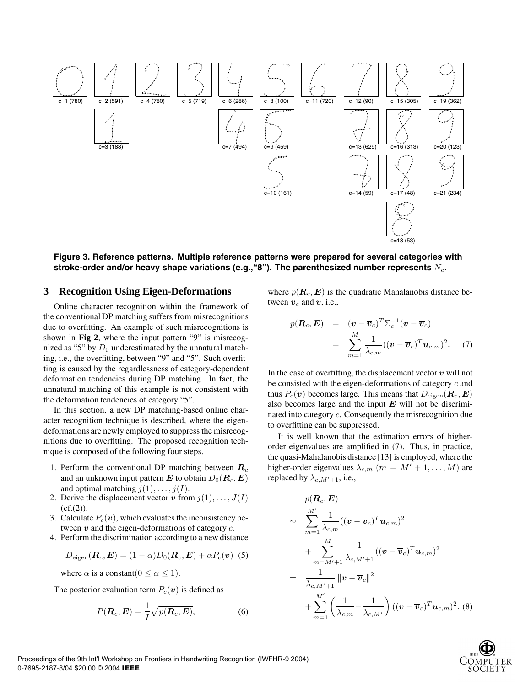

**Figure 3. Reference patterns. Multiple reference patterns were prepared for several categories with stroke-order and/or heavy shape variations (e.g.,"8"). The parenthesized number represents** N*c***.**

#### **3 Recognition Using Eigen-Deformations**

Online character recognition within the framework of the conventional DP matching suffers from misrecognitions due to overfitting. An example of such misrecognitions is shown in **Fig 2**, where the input pattern "9" is misrecognized as "5" by  $D_0$  underestimated by the unnatural matching, i.e., the overfitting, between "9" and "5". Such overfitting is caused by the regardlessness of category-dependent deformation tendencies during DP matching. In fact, the unnatural matching of this example is not consistent with the deformation tendencies of category "5".

In this section, a new DP matching-based online character recognition technique is described, where the eigendeformations are newly employed to suppress the misrecognitions due to overfitting. The proposed recognition technique is composed of the following four steps.

- 1. Perform the conventional DP matching between *R<sup>c</sup>* and an unknown input pattern *E* to obtain  $D_0(\mathbf{R}_c, \mathbf{E})$ and optimal matching  $j(1), \ldots, j(I)$ .
- 2. Derive the displacement vector *v* from  $j(1), \ldots, J(I)$  $(cf.(2))$ .
- 3. Calculate  $P_c(\mathbf{v})$ , which evaluates the inconsistency between *v* and the eigen-deformations of category c.
- 4. Perform the discrimination according to a new distance

$$
D_{\text{eigen}}(\boldsymbol{R}_c, \boldsymbol{E}) = (1 - \alpha)D_0(\boldsymbol{R}_c, \boldsymbol{E}) + \alpha P_c(\boldsymbol{v}) \tag{5}
$$

where  $\alpha$  is a constant( $0 \leq \alpha \leq 1$ ).

The posterior evaluation term  $P_c(v)$  is defined as

$$
P(\boldsymbol{R}_c, \boldsymbol{E}) = \frac{1}{I} \sqrt{p(\boldsymbol{R}_c, \boldsymbol{E})},
$$
\n(6)

where  $p(\mathbf{R}_c, \mathbf{E})$  is the quadratic Mahalanobis distance between  $\overline{v}_c$  and  $v$ , i.e.,

$$
p(\boldsymbol{R}_c, \boldsymbol{E}) = (\boldsymbol{v} - \overline{\boldsymbol{v}}_c)^T \Sigma_c^{-1} (\boldsymbol{v} - \overline{\boldsymbol{v}}_c)
$$
  
= 
$$
\sum_{m=1}^M \frac{1}{\lambda_{c,m}} ((\boldsymbol{v} - \overline{\boldsymbol{v}}_c)^T \boldsymbol{u}_{c,m})^2.
$$
 (7)

In the case of overfitting, the displacement vector  $v$  will not be consisted with the eigen-deformations of category c and thus  $P_c(\mathbf{v})$  becomes large. This means that  $D_{\text{eigen}}(\mathbf{R}_c, \mathbf{E})$ also becomes large and the input *E* will not be discriminated into category c. Consequently the misrecognition due to overfitting can be suppressed.

It is well known that the estimation errors of higherorder eigenvalues are amplified in (7). Thus, in practice, the quasi-Mahalanobis distance [13] is employed, where the higher-order eigenvalues  $\lambda_{c,m}$  ( $m = M' + 1, \ldots, M$ ) are replaced by  $\lambda_{c,M'+1}$ , i.e.,

$$
p(\boldsymbol{R}_c, \boldsymbol{E})
$$
  
\n
$$
\sim \sum_{m=1}^{M'} \frac{1}{\lambda_{c,m}} ((\boldsymbol{v} - \overline{\boldsymbol{v}}_c)^T \boldsymbol{u}_{c,m})^2
$$
  
\n
$$
+ \sum_{m=M'+1}^{M} \frac{1}{\lambda_{c,M'+1}} ((\boldsymbol{v} - \overline{\boldsymbol{v}}_c)^T \boldsymbol{u}_{c,m})^2
$$
  
\n
$$
= \frac{1}{\lambda_{c,M'+1}} ||\boldsymbol{v} - \overline{\boldsymbol{v}}_c||^2
$$
  
\n
$$
+ \sum_{m=1}^{M'} \left(\frac{1}{\lambda_{c,m}} - \frac{1}{\lambda_{c,M'}}\right) ((\boldsymbol{v} - \overline{\boldsymbol{v}}_c)^T \boldsymbol{u}_{c,m})^2. (8)
$$

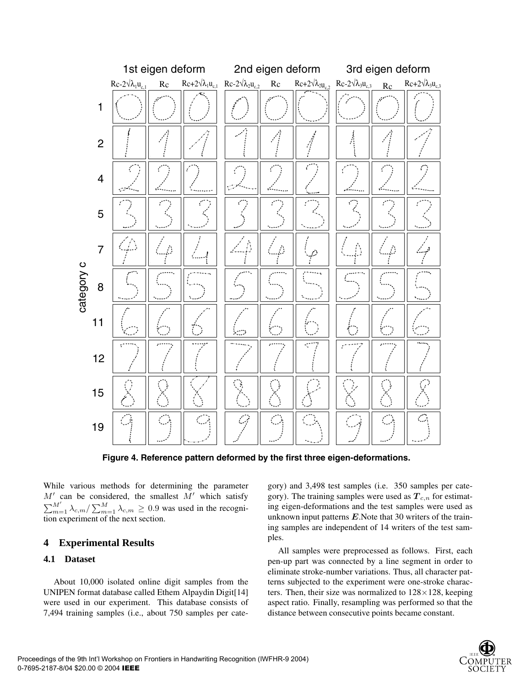

**Figure 4. Reference pattern deformed by the first three eigen-deformations.**

While various methods for determining the parameter  $M'$  can be considered, the smallest  $M'$  which satisfy  $\sum_{m=1}^{M'} \lambda_{c,m} / \sum_{m=1}^{M} \lambda_{c,m} \ge 0.9$  was used in the recognition experiment of the next section.

# **4 Experimental Results**

# **4.1 Dataset**

About 10,000 isolated online digit samples from the UNIPEN format database called Ethem Alpaydin Digit[14] were used in our experiment. This database consists of 7,494 training samples (i.e., about 750 samples per cate-

gory) and 3,498 test samples (i.e. 350 samples per category). The training samples were used as *Tc,n* for estimating eigen-deformations and the test samples were used as unknown input patterns *E*.Note that 30 writers of the training samples are independent of 14 writers of the test samples.

All samples were preprocessed as follows. First, each pen-up part was connected by a line segment in order to eliminate stroke-number variations. Thus, all character patterns subjected to the experiment were one-stroke characters. Then, their size was normalized to  $128 \times 128$ , keeping aspect ratio. Finally, resampling was performed so that the distance between consecutive points became constant.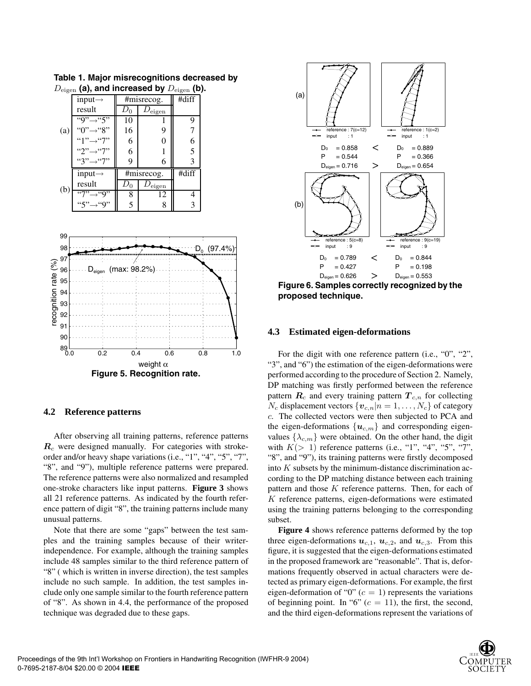| $\sim$ ng $\sim$ |                                   |            |                      | $\sim$ $\sim$ $\sim$ |
|------------------|-----------------------------------|------------|----------------------|----------------------|
|                  | input $\rightarrow$               | #misrecog. |                      | #diff                |
| (a)              | result                            |            | $D_{\rm eigen}$      |                      |
|                  | $\overline{``9"}\rightarrow ``5"$ | 10         |                      | 9                    |
|                  | "0" $\rightarrow$ "8"             | 16         | 9                    |                      |
|                  | "1" $\rightarrow$ "7"             | 6          | 0                    |                      |
|                  | "2" $\rightarrow$ "7"             | 6          |                      | 5                    |
|                  | $"3" \rightarrow "7"$             | 9          | 6                    |                      |
| (b)              | input $\rightarrow$               | #misrecog. |                      | #diff                |
|                  | result                            | $D_0$      | $\nu_{\text{eigen}}$ |                      |
|                  | $\overline{``7"}\rightarrow ``9"$ | 8          | 12                   |                      |
|                  | "5" $\rightarrow$ "9"             | 5          | 8                    |                      |

**Table 1. Major misrecognitions decreased by** Deigen **(a), and increased by** <sup>D</sup>eigen **(b).**



#### **4.2 Reference patterns**

After observing all training patterns, reference patterns *R<sup>c</sup>* were designed manually. For categories with strokeorder and/or heavy shape variations (i.e., "1", "4", "5", "7", "8", and "9"), multiple reference patterns were prepared. The reference patterns were also normalized and resampled one-stroke characters like input patterns. **Figure 3** shows all 21 reference patterns. As indicated by the fourth reference pattern of digit "8", the training patterns include many unusual patterns.

Note that there are some "gaps" between the test samples and the training samples because of their writerindependence. For example, although the training samples include 48 samples similar to the third reference pattern of "8" ( which is written in inverse direction), the test samples include no such sample. In addition, the test samples include only one sample similar to the fourth reference pattern of "8". As shown in 4.4, the performance of the proposed technique was degraded due to these gaps.



**Figure 6. Samples correctly recognized by the proposed technique.**

#### **4.3 Estimated eigen-deformations**

For the digit with one reference pattern (i.e., "0", "2", "3", and "6") the estimation of the eigen-deformations were performed according to the procedure of Section 2. Namely, DP matching was firstly performed between the reference pattern  $R_c$  and every training pattern  $T_{c,n}$  for collecting  $N_c$  displacement vectors  $\{v_{c,n}|n=1,\ldots,N_c\}$  of category c. The collected vectors were then subjected to PCA and the eigen-deformations  $\{u_{c,m}\}\$  and corresponding eigenvalues  $\{\lambda_{c,m}\}$  were obtained. On the other hand, the digit with  $K(> 1)$  reference patterns (i.e., "1", "4", "5", "7", "8", and "9"), its training patterns were firstly decomposed into  $K$  subsets by the minimum-distance discrimination according to the DP matching distance between each training pattern and those  $K$  reference patterns. Then, for each of K reference patterns, eigen-deformations were estimated using the training patterns belonging to the corresponding subset.

**Figure 4** shows reference patterns deformed by the top three eigen-deformations  $u_{c,1}$ ,  $u_{c,2}$ , and  $u_{c,3}$ . From this figure, it is suggested that the eigen-deformations estimated in the proposed framework are "reasonable". That is, deformations frequently observed in actual characters were detected as primary eigen-deformations. For example, the first eigen-deformation of "0"  $(c = 1)$  represents the variations of beginning point. In "6"  $(c = 11)$ , the first, the second, and the third eigen-deformations represent the variations of